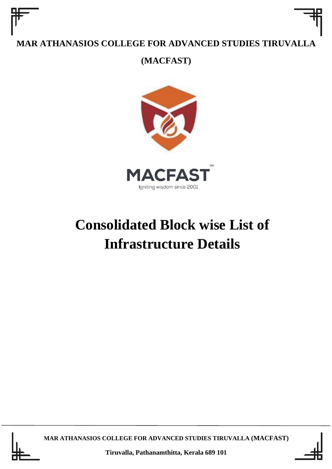**(MACFAST)**



# **Consolidated Block wise List of Infrastructure Details**



**MAR ATHANASIOS COLLEGE FOR ADVANCED STUDIES TIRUVALLA (MACFAST)**



**Tiruvalla, Pathanamthitta, Kerala 689 101**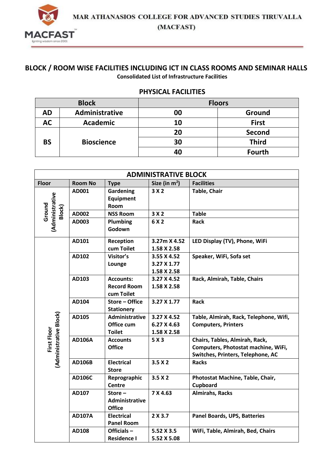

#### **BLOCK / ROOM WISE FACILITIES INCLUDING ICT IN CLASS ROOMS AND SEMINAR HALLS Consolidated List of Infrastructure Facilities**

#### **PHYSICAL FACILITIES**

| <b>Block</b> |                   |    | <b>Floors</b> |
|--------------|-------------------|----|---------------|
| AD           | Administrative    | 00 | Ground        |
| <b>AC</b>    | <b>Academic</b>   | 10 | <b>First</b>  |
|              |                   | 20 | <b>Second</b> |
| <b>BS</b>    | <b>Bioscience</b> | 30 | <b>Third</b>  |
|              |                   | 40 | <b>Fourth</b> |

|                                       | <b>ADMINISTRATIVE BLOCK</b> |                                                      |                                           |                                                                                                            |  |
|---------------------------------------|-----------------------------|------------------------------------------------------|-------------------------------------------|------------------------------------------------------------------------------------------------------------|--|
| <b>Floor</b>                          | <b>Room No</b>              | <b>Type</b>                                          | Size (in $m^2$ )                          | <b>Facilities</b>                                                                                          |  |
| <b>Administrative</b>                 | AD001                       | Gardening<br><b>Equipment</b><br>Room                | 3X2                                       | <b>Table, Chair</b>                                                                                        |  |
| Ground<br>Block)                      | AD002                       | <b>NSS Room</b>                                      | 3X2                                       | <b>Table</b>                                                                                               |  |
|                                       | AD003                       | Plumbing<br>Godown                                   | 6 X 2                                     | <b>Rack</b>                                                                                                |  |
|                                       | AD101                       | Reception<br>cum Toilet                              | 3.27m X 4.52<br>1.58 X 2.58               | LED Display (TV), Phone, WiFi                                                                              |  |
|                                       | AD102                       | Visitor's<br>Lounge                                  | 3.55 X 4.52<br>3.27 X 1.77<br>1.58 X 2.58 | Speaker, WiFi, Sofa set                                                                                    |  |
|                                       | AD103                       | <b>Accounts:</b><br><b>Record Room</b><br>cum Toilet | 3.27 X 4.52<br>1.58 X 2.58                | Rack, Almirah, Table, Chairs                                                                               |  |
|                                       | AD104                       | Store - Office<br><b>Stationery</b>                  | 3.27 X 1.77                               | <b>Rack</b>                                                                                                |  |
|                                       | AD105                       | Administrative<br>Office cum<br><b>Toilet</b>        | 3.27 X 4.52<br>6.27 X 4.63<br>1.58 X 2.58 | Table, Almirah, Rack, Telephone, Wifi,<br><b>Computers, Printers</b>                                       |  |
| (Administrative Block)<br>First Floor | <b>AD106A</b>               | <b>Accounts</b><br><b>Office</b>                     | 5 X 3                                     | Chairs, Tables, Almirah, Rack,<br>Computers, Photostat machine, WiFi,<br>Switches, Printers, Telephone, AC |  |
|                                       | <b>AD106B</b>               | <b>Electrical</b><br><b>Store</b>                    | 3.5X2                                     | <b>Racks</b>                                                                                               |  |
|                                       | <b>AD106C</b>               | Reprographic<br><b>Centre</b>                        | 3.5X2                                     | Photostat Machine, Table, Chair,<br>Cupboard                                                               |  |
|                                       | AD107                       | Store $-$<br>Administrative<br><b>Office</b>         | 7 X 4.63                                  | <b>Almirahs, Racks</b>                                                                                     |  |
|                                       | <b>AD107A</b>               | <b>Electrical</b><br><b>Panel Room</b>               | 2 X 3.7                                   | <b>Panel Boards, UPS, Batteries</b>                                                                        |  |
|                                       | AD108                       | Officials-<br><b>Residence I</b>                     | 5.52 X 3.5<br>5.52 X 5.08                 | WiFi, Table, Almirah, Bed, Chairs                                                                          |  |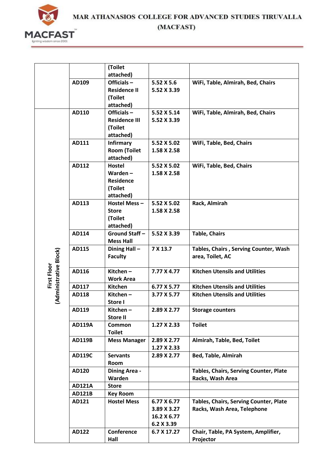

|                        |               | (Toilet                     |             |                                        |
|------------------------|---------------|-----------------------------|-------------|----------------------------------------|
|                        |               | attached)                   |             |                                        |
|                        | AD109         | Officials $-$               | 5.52 X 5.6  | WiFi, Table, Almirah, Bed, Chairs      |
|                        |               | <b>Residence II</b>         | 5.52 X 3.39 |                                        |
|                        |               | (Toilet                     |             |                                        |
|                        |               | attached)                   |             |                                        |
|                        | AD110         | Officials-                  | 5.52 X 5.14 | WiFi, Table, Almirah, Bed, Chairs      |
|                        |               | <b>Residence III</b>        | 5.52 X 3.39 |                                        |
|                        |               | (Toilet                     |             |                                        |
|                        |               | attached)                   |             |                                        |
|                        | AD111         | <b>Infirmary</b>            | 5.52 X 5.02 | WiFi, Table, Bed, Chairs               |
|                        |               | <b>Room (Toilet</b>         | 1.58 X 2.58 |                                        |
|                        |               | attached)                   |             |                                        |
|                        | AD112         | <b>Hostel</b><br>Warden $-$ | 5.52 X 5.02 | WiFi, Table, Bed, Chairs               |
|                        |               | <b>Residence</b>            | 1.58 X 2.58 |                                        |
|                        |               | (Toilet                     |             |                                        |
|                        |               | attached)                   |             |                                        |
|                        | AD113         | Hostel Mess-                | 5.52 X 5.02 | Rack, Almirah                          |
|                        |               | <b>Store</b>                | 1.58 X 2.58 |                                        |
|                        |               | (Toilet                     |             |                                        |
|                        |               | attached)                   |             |                                        |
|                        | AD114         | Ground Staff-               | 5.52 X 3.39 | <b>Table, Chairs</b>                   |
|                        |               | <b>Mess Hall</b>            |             |                                        |
|                        | AD115         | Dining Hall-                | 7 X 13.7    | Tables, Chairs, Serving Counter, Wash  |
| (Administrative Block) |               | <b>Faculty</b>              |             | area, Toilet, AC                       |
|                        |               |                             |             |                                        |
| First Floor            | AD116         | Kitchen-                    | 7.77 X 4.77 | <b>Kitchen Utensils and Utilities</b>  |
|                        |               | <b>Work Area</b>            |             |                                        |
|                        | AD117         | <b>Kitchen</b>              | 6.77 X 5.77 | <b>Kitchen Utensils and Utilities</b>  |
|                        | AD118         | Kitchen-                    | 3.77 X 5.77 | <b>Kitchen Utensils and Utilities</b>  |
|                        |               | Store I                     |             |                                        |
|                        | AD119         | Kitchen –                   | 2.89 X 2.77 | <b>Storage counters</b>                |
|                        |               | <b>Store II</b>             |             |                                        |
|                        | <b>AD119A</b> | Common                      | 1.27 X 2.33 | <b>Toilet</b>                          |
|                        | <b>AD119B</b> | <b>Toilet</b>               | 2.89 X 2.77 | Almirah, Table, Bed, Toilet            |
|                        |               | <b>Mess Manager</b>         | 1.27 X 2.33 |                                        |
|                        | <b>AD119C</b> | <b>Servants</b>             | 2.89 X 2.77 | <b>Bed, Table, Almirah</b>             |
|                        |               | Room                        |             |                                        |
|                        | AD120         | <b>Dining Area -</b>        |             | Tables, Chairs, Serving Counter, Plate |
|                        |               | Warden                      |             | Racks, Wash Area                       |
|                        | <b>AD121A</b> | <b>Store</b>                |             |                                        |
|                        | <b>AD121B</b> | <b>Key Room</b>             |             |                                        |
|                        | AD121         | <b>Hostel Mess</b>          | 6.77 X 6.77 | Tables, Chairs, Serving Counter, Plate |
|                        |               |                             | 3.89 X 3.27 | Racks, Wash Area, Telephone            |
|                        |               |                             | 16.2 X 6.77 |                                        |
|                        |               |                             | 6.2 X 3.39  |                                        |
|                        | AD122         | Conference                  | 6.7 X 17.27 | Chair, Table, PA System, Amplifier,    |
|                        |               | Hall                        |             | Projector                              |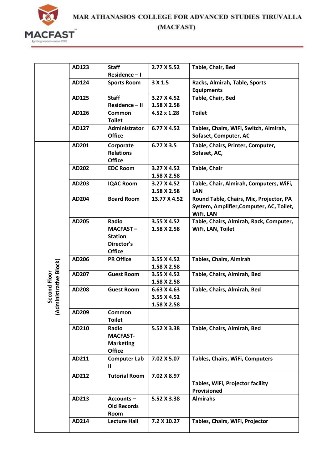

|                      | AD123 | <b>Staff</b>                    | 2.77 X 5.52                | Table, Chair, Bed                                            |
|----------------------|-------|---------------------------------|----------------------------|--------------------------------------------------------------|
|                      |       | Residence-I                     |                            |                                                              |
|                      | AD124 | <b>Sports Room</b>              | 3 X 1.5                    | Racks, Almirah, Table, Sports                                |
|                      |       |                                 |                            | <b>Equipments</b>                                            |
|                      | AD125 | <b>Staff</b>                    | 3.27 X 4.52                | Table, Chair, Bed                                            |
|                      |       | Residence - II                  | 1.58 X 2.58                |                                                              |
|                      | AD126 | Common                          | $4.52 \times 1.28$         | <b>Toilet</b>                                                |
|                      |       | <b>Toilet</b>                   |                            |                                                              |
|                      | AD127 | Administrator                   | 6.77 X 4.52                | Tables, Chairs, WiFi, Switch, Almirah,                       |
|                      |       | <b>Office</b>                   |                            | Sofaset, Computer, AC                                        |
|                      | AD201 | Corporate                       | 6.77 X 3.5                 | Table, Chairs, Printer, Computer,                            |
|                      |       | <b>Relations</b>                |                            | Sofaset, AC,                                                 |
|                      |       | <b>Office</b>                   |                            |                                                              |
|                      | AD202 | <b>EDC Room</b>                 | 3.27 X 4.52                | <b>Table, Chair</b>                                          |
|                      |       |                                 | 1.58 X 2.58                |                                                              |
|                      | AD203 | <b>IQAC Room</b>                | 3.27 X 4.52                | Table, Chair, Almirah, Computers, WiFi,                      |
|                      |       |                                 | 1.58 X 2.58                | <b>LAN</b>                                                   |
|                      | AD204 | <b>Board Room</b>               | 13.77 X 4.52               | Round Table, Chairs, Mic, Projector, PA                      |
|                      |       |                                 |                            | System, Amplifier, Computer, AC, Toilet,                     |
|                      | AD205 | Radio                           |                            | WiFi, LAN                                                    |
|                      |       | <b>MACFAST-</b>                 | 3.55 X 4.52<br>1.58 X 2.58 | Table, Chairs, Almirah, Rack, Computer,<br>WiFi, LAN, Toilet |
|                      |       | <b>Station</b>                  |                            |                                                              |
|                      |       | Director's                      |                            |                                                              |
|                      |       | <b>Office</b>                   |                            |                                                              |
|                      | AD206 | <b>PR Office</b>                | 3.55 X 4.52                | <b>Tables, Chairs, Almirah</b>                               |
|                      |       |                                 | 1.58 X 2.58                |                                                              |
| dministrative Block) | AD207 | <b>Guest Room</b>               | 3.55 X 4.52                | Table, Chairs, Almirah, Bed                                  |
| Second Floor         |       |                                 | 1.58 X 2.58                |                                                              |
|                      | AD208 | <b>Guest Room</b>               | 6.63 X 4.63                | Table, Chairs, Almirah, Bed                                  |
|                      |       |                                 | 3.55 X 4.52                |                                                              |
|                      |       |                                 | 1.58 X 2.58                |                                                              |
| द                    | AD209 | Common                          |                            |                                                              |
|                      |       | <b>Toilet</b>                   |                            |                                                              |
|                      | AD210 | Radio                           | 5.52 X 3.38                | Table, Chairs, Almirah, Bed                                  |
|                      |       | <b>MACFAST-</b>                 |                            |                                                              |
|                      |       | <b>Marketing</b>                |                            |                                                              |
|                      |       | <b>Office</b>                   | 7.02 X 5.07                | Tables, Chairs, WiFi, Computers                              |
|                      | AD211 | <b>Computer Lab</b><br>Ш        |                            |                                                              |
|                      |       |                                 |                            |                                                              |
|                      | AD212 | <b>Tutorial Room</b>            | 7.02 X 8.97                |                                                              |
|                      |       |                                 |                            | Tables, WiFi, Projector facility                             |
|                      |       |                                 | 5.52 X 3.38                | Provisioned<br><b>Almirahs</b>                               |
|                      | AD213 | Accounts-<br><b>Old Records</b> |                            |                                                              |
|                      |       | Room                            |                            |                                                              |
|                      | AD214 | <b>Lecture Hall</b>             | 7.2 X 10.27                | Tables, Chairs, WiFi, Projector                              |
|                      |       |                                 |                            |                                                              |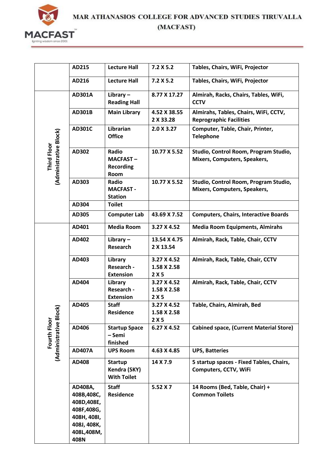

|                                              | AD215                                                                                                  | <b>Lecture Hall</b>                                  | 7.2 X 5.2                         | Tables, Chairs, WiFi, Projector                                         |
|----------------------------------------------|--------------------------------------------------------------------------------------------------------|------------------------------------------------------|-----------------------------------|-------------------------------------------------------------------------|
|                                              | AD216                                                                                                  | <b>Lecture Hall</b>                                  | 7.2 X 5.2                         | Tables, Chairs, WiFi, Projector                                         |
|                                              | <b>AD301A</b>                                                                                          | Library $-$<br><b>Reading Hall</b>                   | 8.77 X 17.27                      | Almirah, Racks, Chairs, Tables, WiFi,<br><b>CCTV</b>                    |
|                                              | <b>AD301B</b>                                                                                          | <b>Main Library</b>                                  | 4.52 X 38.55<br>2 X 33.28         | Almirahs, Tables, Chairs, WiFi, CCTV,<br><b>Reprographic Facilities</b> |
|                                              | <b>AD301C</b>                                                                                          | Librarian<br><b>Office</b>                           | 2.0 X 3.27                        | Computer, Table, Chair, Printer,<br><b>Telephone</b>                    |
| (Administrative Block)<br><b>Third Floor</b> | AD302                                                                                                  | Radio<br><b>MACFAST-</b><br><b>Recording</b><br>Room | 10.77 X 5.52                      | Studio, Control Room, Program Studio,<br>Mixers, Computers, Speakers,   |
|                                              | AD303                                                                                                  | Radio<br><b>MACFAST -</b><br><b>Station</b>          | 10.77 X 5.52                      | Studio, Control Room, Program Studio,<br>Mixers, Computers, Speakers,   |
|                                              | AD304                                                                                                  | <b>Toilet</b>                                        |                                   |                                                                         |
|                                              | AD305                                                                                                  | <b>Computer Lab</b>                                  | 43.69 X 7.52                      | <b>Computers, Chairs, Interactive Boards</b>                            |
|                                              | AD401                                                                                                  | <b>Media Room</b>                                    | 3.27 X 4.52                       | <b>Media Room Equipments, Almirahs</b>                                  |
|                                              | AD402                                                                                                  | Library $-$<br><b>Research</b>                       | 13.54 X 4.75<br>2 X 13.54         | Almirah, Rack, Table, Chair, CCTV                                       |
|                                              | AD403                                                                                                  | Library<br>Research -<br><b>Extension</b>            | 3.27 X 4.52<br>1.58 X 2.58<br>2X5 | Almirah, Rack, Table, Chair, CCTV                                       |
|                                              | AD404                                                                                                  | Library<br>Research -<br><b>Extension</b>            | 3.27 X 4.52<br>1.58 X 2.58<br>2X5 | Almirah, Rack, Table, Chair, CCTV                                       |
| Σ                                            | AD405                                                                                                  | <b>Staff</b><br>Residence                            | 3.27 X 4.52<br>1.58 X 2.58<br>2X5 | Table, Chairs, Almirah, Bed                                             |
| (Administrative Bloc<br>Fourth Floor         | AD406                                                                                                  | <b>Startup Space</b><br>- Semi<br>finished           | 6.27 X 4.52                       | <b>Cabined space, (Current Material Store)</b>                          |
|                                              | <b>AD407A</b>                                                                                          | <b>UPS Room</b>                                      | 4.63 X 4.85                       | <b>UPS, Batteries</b>                                                   |
|                                              | AD408                                                                                                  | <b>Startup</b><br>Kendra (SKY)<br><b>With Toilet</b> | 14 X 7.9                          | 5 startup spaces - Fixed Tables, Chairs,<br>Computers, CCTV, WiFi       |
|                                              | AD408A,<br>408B,408C,<br>408D, 408E,<br>408F,408G,<br>408H, 408I,<br>408J, 408K,<br>408L,408M,<br>408N | <b>Staff</b><br><b>Residence</b>                     | 5.52 X 7                          | 14 Rooms (Bed, Table, Chair) +<br><b>Common Toilets</b>                 |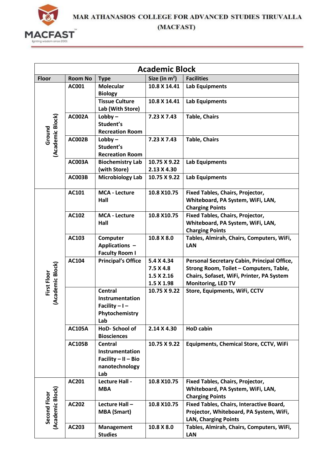

(MACFAST)

|                                  |                |                                                                                       | <b>Academic Block</b>                               |                                                                                                                                                                  |
|----------------------------------|----------------|---------------------------------------------------------------------------------------|-----------------------------------------------------|------------------------------------------------------------------------------------------------------------------------------------------------------------------|
| <b>Floor</b>                     | <b>Room No</b> | <b>Type</b>                                                                           | Size (in $m^2$ )                                    | <b>Facilities</b>                                                                                                                                                |
|                                  | AC001          | <b>Molecular</b><br><b>Biology</b>                                                    | 10.8 X 14.41                                        | <b>Lab Equipments</b>                                                                                                                                            |
|                                  |                | <b>Tissue Culture</b><br>Lab (With Store)                                             | 10.8 X 14.41                                        | <b>Lab Equipments</b>                                                                                                                                            |
| (Academic Block)<br>Ground       | <b>AC002A</b>  | $Lobby -$<br>Student's<br><b>Recreation Room</b>                                      | 7.23 X 7.43                                         | <b>Table, Chairs</b>                                                                                                                                             |
|                                  | <b>AC002B</b>  | $Lobby -$<br>Student's<br><b>Recreation Room</b>                                      | 7.23 X 7.43                                         | <b>Table, Chairs</b>                                                                                                                                             |
|                                  | <b>AC003A</b>  | <b>Biochemistry Lab</b><br>(with Store)                                               | 10.75 X 9.22<br>2.13 X 4.30                         | <b>Lab Equipments</b>                                                                                                                                            |
|                                  | <b>AC003B</b>  | <b>Microbiology Lab</b>                                                               | 10.75 X 9.22                                        | <b>Lab Equipments</b>                                                                                                                                            |
| (Academic Block)<br>First Floor  | AC101          | <b>MCA - Lecture</b><br>Hall                                                          | 10.8 X10.75                                         | Fixed Tables, Chairs, Projector,<br>Whiteboard, PA System, WiFi, LAN,<br><b>Charging Points</b>                                                                  |
|                                  | AC102          | <b>MCA - Lecture</b><br>Hall                                                          | 10.8 X10.75                                         | <b>Fixed Tables, Chairs, Projector,</b><br>Whiteboard, PA System, WiFi, LAN,<br><b>Charging Points</b>                                                           |
|                                  | AC103          | Computer<br>Applications -<br><b>Faculty Room I</b>                                   | 10.8 X 8.0                                          | Tables, Almirah, Chairs, Computers, WiFi,<br><b>LAN</b>                                                                                                          |
|                                  | AC104          | <b>Principal's Office</b>                                                             | 5.4 X 4.34<br>7.5 X 4.8<br>1.5 X 2.16<br>1.5 X 1.98 | Personal Secretary Cabin, Principal Office,<br>Strong Room, Toilet - Computers, Table,<br>Chairs, Sofaset, WiFi, Printer, PA System<br><b>Monitoring, LED TV</b> |
|                                  |                | <b>Central</b><br>Instrumentation<br>Facility $-1-$<br>Phytochemistry<br>Lab          | 10.75 X 9.22                                        | Store, Equipments, WiFi, CCTV                                                                                                                                    |
|                                  | <b>AC105A</b>  | HoD-School of<br><b>Biosciences</b>                                                   | 2.14 X 4.30                                         | <b>HoD cabin</b>                                                                                                                                                 |
|                                  | <b>AC105B</b>  | <b>Central</b><br>Instrumentation<br>Facility $-$ II $-$ Bio<br>nanotechnology<br>Lab | 10.75 X 9.22                                        | <b>Equipments, Chemical Store, CCTV, WiFi</b>                                                                                                                    |
|                                  | AC201          | <b>Lecture Hall -</b><br><b>MBA</b>                                                   | 10.8 X10.75                                         | Fixed Tables, Chairs, Projector,<br>Whiteboard, PA System, WiFi, LAN,<br><b>Charging Points</b>                                                                  |
| (Academic Block)<br>Second Floor | <b>AC202</b>   | Lecture Hall -<br><b>MBA (Smart)</b>                                                  | 10.8 X10.75                                         | Fixed Tables, Chairs, Interactive Board,<br>Projector, Whiteboard, PA System, WiFi,<br><b>LAN, Charging Points</b>                                               |
|                                  | AC203          | <b>Management</b><br><b>Studies</b>                                                   | 10.8 X 8.0                                          | Tables, Almirah, Chairs, Computers, WiFi,<br><b>LAN</b>                                                                                                          |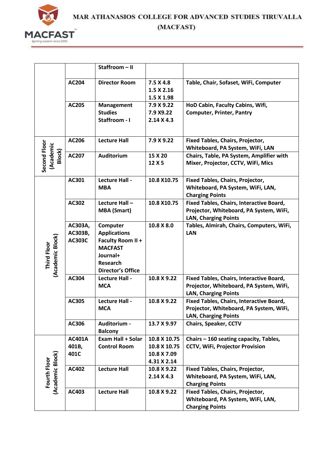

|                                        |                                     | Staffroom - II                                                                                                             |                                                            |                                                                                                                    |
|----------------------------------------|-------------------------------------|----------------------------------------------------------------------------------------------------------------------------|------------------------------------------------------------|--------------------------------------------------------------------------------------------------------------------|
|                                        | AC204                               | <b>Director Room</b>                                                                                                       | 7.5 X 4.8<br>1.5 X 2.16<br>1.5 X 1.98                      | Table, Chair, Sofaset, WiFi, Computer                                                                              |
|                                        | AC205                               | <b>Management</b><br><b>Studies</b><br>Staffroom - I                                                                       | 7.9 X 9.22<br>7.9 X9.22<br>$2.14 \times 4.3$               | HoD Cabin, Faculty Cabins, Wifi,<br><b>Computer, Printer, Pantry</b>                                               |
|                                        | AC206                               | <b>Lecture Hall</b>                                                                                                        | 7.9 X 9.22                                                 | <b>Fixed Tables, Chairs, Projector,</b><br>Whiteboard, PA System, WiFi, LAN                                        |
| Second Floor<br>(Academic<br>Block)    | AC207                               | <b>Auditorium</b>                                                                                                          | 15 X 20<br>12 X 5                                          | Chairs, Table, PA System, Amplifier with<br>Mixer, Projector, CCTV, WiFi, Mics                                     |
|                                        | AC301                               | Lecture Hall -<br><b>MBA</b>                                                                                               | 10.8 X10.75                                                | Fixed Tables, Chairs, Projector,<br>Whiteboard, PA System, WiFi, LAN,<br><b>Charging Points</b>                    |
|                                        | AC302                               | Lecture Hall-<br><b>MBA (Smart)</b>                                                                                        | 10.8 X10.75                                                | Fixed Tables, Chairs, Interactive Board,<br>Projector, Whiteboard, PA System, WiFi,<br><b>LAN, Charging Points</b> |
| (Academic Block)<br><b>Third Floor</b> | AC303A,<br>AC303B,<br><b>AC303C</b> | Computer<br><b>Applications</b><br>Faculty Room II +<br><b>MACFAST</b><br>Journal+<br>Research<br><b>Director's Office</b> | 10.8 X 8.0                                                 | Tables, Almirah, Chairs, Computers, WiFi,<br>LAN                                                                   |
|                                        | AC304                               | Lecture Hall -<br><b>MCA</b>                                                                                               | 10.8 X 9.22                                                | Fixed Tables, Chairs, Interactive Board,<br>Projector, Whiteboard, PA System, WiFi,<br><b>LAN, Charging Points</b> |
|                                        | AC305                               | Lecture Hall -<br><b>MCA</b>                                                                                               | 10.8 X 9.22                                                | Fixed Tables, Chairs, Interactive Board,<br>Projector, Whiteboard, PA System, WiFi,<br><b>LAN, Charging Points</b> |
|                                        | AC306                               | Auditorium -<br><b>Balcony</b>                                                                                             | 13.7 X 9.97                                                | <b>Chairs, Speaker, CCTV</b>                                                                                       |
|                                        | <b>AC401A</b><br>401B,<br>401C      | <b>Exam Hall + Solar</b><br><b>Control Room</b>                                                                            | 10.8 X 10.75<br>10.8 X 10.75<br>10.8 X 7.09<br>4.31 X 2.14 | Chairs - 160 seating capacity, Tables,<br><b>CCTV, WiFi, Projector Provision</b>                                   |
| (Academic Block)<br>Fourth Floor       | AC402                               | <b>Lecture Hall</b>                                                                                                        | 10.8 X 9.22<br>$2.14 \times 4.3$                           | Fixed Tables, Chairs, Projector,<br>Whiteboard, PA System, WiFi, LAN,<br><b>Charging Points</b>                    |
|                                        | AC403                               | <b>Lecture Hall</b>                                                                                                        | 10.8 X 9.22                                                | Fixed Tables, Chairs, Projector,<br>Whiteboard, PA System, WiFi, LAN,<br><b>Charging Points</b>                    |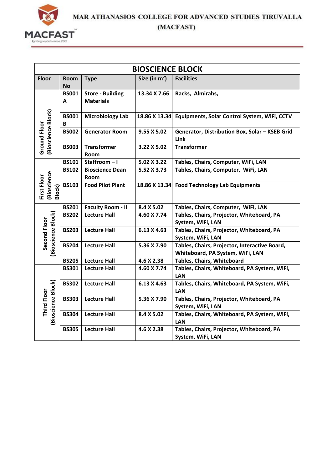

(MACFAST)

|                                      | <b>BIOSCIENCE BLOCK</b> |                                             |                  |                                                                                   |  |  |  |
|--------------------------------------|-------------------------|---------------------------------------------|------------------|-----------------------------------------------------------------------------------|--|--|--|
| <b>Floor</b>                         | Room<br><b>No</b>       | <b>Type</b>                                 | Size (in $m^2$ ) | <b>Facilities</b>                                                                 |  |  |  |
|                                      | <b>BS001</b><br>A       | <b>Store - Building</b><br><b>Materials</b> | 13.34 X 7.66     | Racks, Almirahs,                                                                  |  |  |  |
| (Bioscience Block)                   | <b>BS001</b><br>B       | <b>Microbiology Lab</b>                     | 18.86 X 13.34    | Equipments, Solar Control System, WiFi, CCTV                                      |  |  |  |
| <b>Ground Floor</b>                  | <b>BS002</b>            | <b>Generator Room</b>                       | 9.55 X 5.02      | Generator, Distribution Box, Solar - KSEB Grid<br>Link                            |  |  |  |
|                                      | <b>BS003</b>            | <b>Transformer</b><br>Room                  | 3.22 X 5.02      | <b>Transformer</b>                                                                |  |  |  |
|                                      | <b>BS101</b>            | Staffroom-I                                 | 5.02 X 3.22      | Tables, Chairs, Computer, WiFi, LAN                                               |  |  |  |
|                                      | <b>BS102</b>            | <b>Bioscience Dean</b><br>Room              | 5.52 X 3.73      | Tables, Chairs, Computer, WiFi, LAN                                               |  |  |  |
| (Bioscience<br>Block)<br>First Floor | <b>BS103</b>            | <b>Food Pilot Plant</b>                     | 18.86 X 13.34    | <b>Food Technology Lab Equipments</b>                                             |  |  |  |
|                                      | <b>BS201</b>            | <b>Faculty Room - II</b>                    | 8.4 X 5.02       | Tables, Chairs, Computer, WiFi, LAN                                               |  |  |  |
|                                      | <b>BS202</b>            | <b>Lecture Hall</b>                         | 4.60 X 7.74      | Tables, Chairs, Projector, Whiteboard, PA<br>System, WiFi, LAN                    |  |  |  |
| (Bioscience Block)<br>Second Floor   | <b>BS203</b>            | <b>Lecture Hall</b>                         | 6.13 X 4.63      | Tables, Chairs, Projector, Whiteboard, PA<br>System, WiFi, LAN                    |  |  |  |
|                                      | <b>BS204</b>            | <b>Lecture Hall</b>                         | 5.36 X 7.90      | Tables, Chairs, Projector, Interactive Board,<br>Whiteboard, PA System, WiFi, LAN |  |  |  |
|                                      | <b>BS205</b>            | <b>Lecture Hall</b>                         | 4.6 X 2.38       | Tables, Chairs, Whiteboard                                                        |  |  |  |
|                                      | <b>BS301</b>            | <b>Lecture Hall</b>                         | 4.60 X 7.74      | Tables, Chairs, Whiteboard, PA System, WiFi,<br><b>LAN</b>                        |  |  |  |
|                                      | <b>BS302</b>            | <b>Lecture Hall</b>                         | 6.13 X 4.63      | Tables, Chairs, Whiteboard, PA System, WiFi,<br>LAN                               |  |  |  |
| (Bioscience Block)<br>Third Floor    | <b>BS303</b>            | <b>Lecture Hall</b>                         | 5.36 X 7.90      | Tables, Chairs, Projector, Whiteboard, PA<br>System, WiFi, LAN                    |  |  |  |
|                                      | <b>BS304</b>            | <b>Lecture Hall</b>                         | 8.4 X 5.02       | Tables, Chairs, Whiteboard, PA System, WiFi,<br><b>LAN</b>                        |  |  |  |
|                                      | <b>BS305</b>            | <b>Lecture Hall</b>                         | 4.6 X 2.38       | Tables, Chairs, Projector, Whiteboard, PA<br>System, WiFi, LAN                    |  |  |  |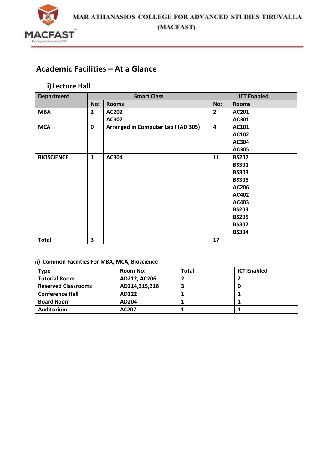

# **Academic Facilities – At a Glance**

### **i)Lecture Hall**

| <b>Department</b> |                | <b>Smart Class</b>                  |                         | <b>ICT Enabled</b> |
|-------------------|----------------|-------------------------------------|-------------------------|--------------------|
|                   | No:            | <b>Rooms</b>                        | No:                     | <b>Rooms</b>       |
| <b>MBA</b>        | $\overline{2}$ | <b>AC202</b>                        | $\overline{2}$          | AC201              |
|                   |                | AC302                               |                         | AC301              |
| <b>MCA</b>        | $\mathbf 0$    | Arranged in Computer Lab I (AD 305) | $\overline{\mathbf{4}}$ | AC101              |
|                   |                |                                     |                         | AC102              |
|                   |                |                                     |                         | AC304              |
|                   |                |                                     |                         | AC305              |
| <b>BIOSCIENCE</b> | $\mathbf{1}$   | AC304                               | 11                      | <b>BS202</b>       |
|                   |                |                                     |                         | <b>BS301</b>       |
|                   |                |                                     |                         | <b>BS303</b>       |
|                   |                |                                     |                         | <b>BS305</b>       |
|                   |                |                                     |                         | AC206              |
|                   |                |                                     |                         | AC402              |
|                   |                |                                     |                         | AC403              |
|                   |                |                                     |                         | <b>BS203</b>       |
|                   |                |                                     |                         | <b>BS205</b>       |
|                   |                |                                     |                         | <b>BS302</b>       |
|                   |                |                                     |                         | <b>BS304</b>       |
| <b>Total</b>      | 3              |                                     | 17                      |                    |

#### **ii) Common Facilities For MBA, MCA, Bioscience**

| Type                       | <b>Room No:</b> | Total | <b>ICT Enabled</b> |
|----------------------------|-----------------|-------|--------------------|
| <b>Tutorial Room</b>       | AD212, AC206    |       |                    |
| <b>Reserved Classrooms</b> | AD214,215,216   |       |                    |
| <b>Conference Hall</b>     | AD122           |       |                    |
| <b>Board Room</b>          | AD204           |       |                    |
| Auditorium                 | AC207           |       |                    |